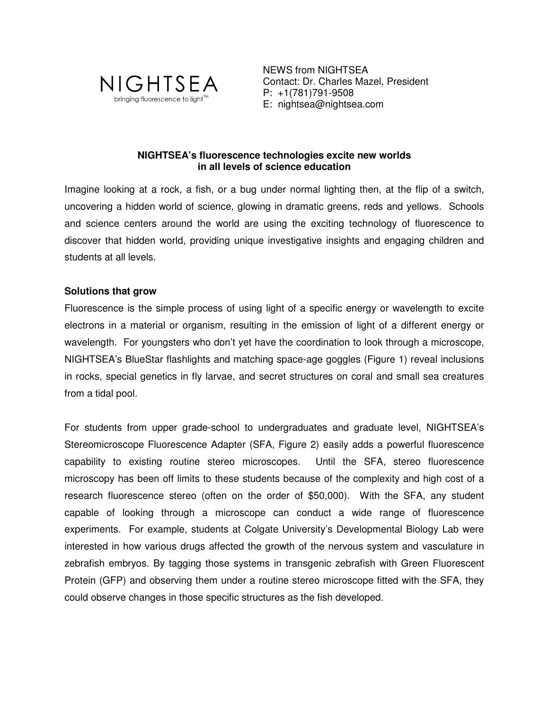

NEWS from NIGHTSEA Contact: Dr. Charles Mazel, President P: +1(781)791-9508 E: nightsea@nightsea.com

# **NIGHTSEA's fluorescence technologies excite new worlds in all levels of science education**

Imagine looking at a rock, a fish, or a bug under normal lighting then, at the flip of a switch, uncovering a hidden world of science, glowing in dramatic greens, reds and yellows. Schools and science centers around the world are using the exciting technology of fluorescence to discover that hidden world, providing unique investigative insights and engaging children and students at all levels.

# **Solutions that grow**

Fluorescence is the simple process of using light of a specific energy or wavelength to excite electrons in a material or organism, resulting in the emission of light of a different energy or wavelength. For youngsters who don't yet have the coordination to look through a microscope, NIGHTSEA's BlueStar flashlights and matching space-age goggles (Figure 1) reveal inclusions in rocks, special genetics in fly larvae, and secret structures on coral and small sea creatures from a tidal pool.

For students from upper grade-school to undergraduates and graduate level, NIGHTSEA's Stereomicroscope Fluorescence Adapter (SFA, Figure 2) easily adds a powerful fluorescence capability to existing routine stereo microscopes. Until the SFA, stereo fluorescence microscopy has been off limits to these students because of the complexity and high cost of a research fluorescence stereo (often on the order of \$50,000). With the SFA, any student capable of looking through a microscope can conduct a wide range of fluorescence experiments. For example, students at Colgate University's Developmental Biology Lab were interested in how various drugs affected the growth of the nervous system and vasculature in zebrafish embryos. By tagging those systems in transgenic zebrafish with Green Fluorescent Protein (GFP) and observing them under a routine stereo microscope fitted with the SFA, they could observe changes in those specific structures as the fish developed.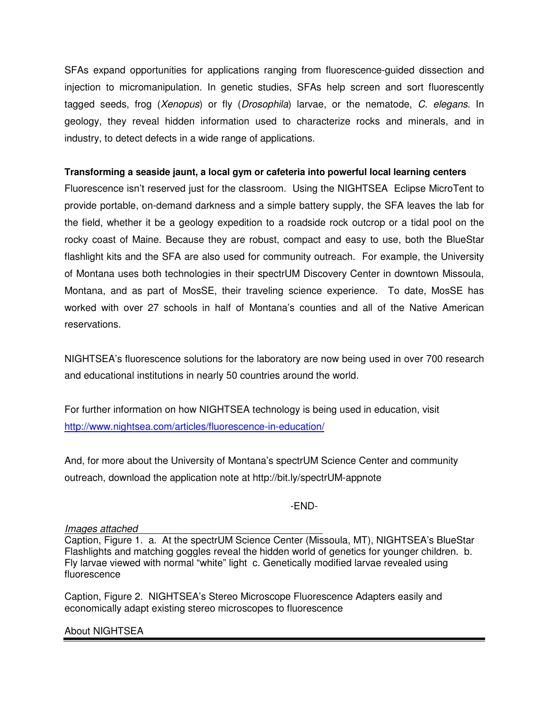SFAs expand opportunities for applications ranging from fluorescence-guided dissection and injection to micromanipulation. In genetic studies, SFAs help screen and sort fluorescently tagged seeds, frog (Xenopus) or fly (Drosophila) larvae, or the nematode, C. elegans. In geology, they reveal hidden information used to characterize rocks and minerals, and in industry, to detect defects in a wide range of applications.

# **Transforming a seaside jaunt, a local gym or cafeteria into powerful local learning centers**

Fluorescence isn't reserved just for the classroom. Using the NIGHTSEA Eclipse MicroTent to provide portable, on-demand darkness and a simple battery supply, the SFA leaves the lab for the field, whether it be a geology expedition to a roadside rock outcrop or a tidal pool on the rocky coast of Maine. Because they are robust, compact and easy to use, both the BlueStar flashlight kits and the SFA are also used for community outreach. For example, the University of Montana uses both technologies in their spectrUM Discovery Center in downtown Missoula, Montana, and as part of MosSE, their traveling science experience. To date, MosSE has worked with over 27 schools in half of Montana's counties and all of the Native American reservations.

NIGHTSEA's fluorescence solutions for the laboratory are now being used in over 700 research and educational institutions in nearly 50 countries around the world.

For further information on how NIGHTSEA technology is being used in education, visit http://www.nightsea.com/articles/fluorescence-in-education/

And, for more about the University of Montana's spectrUM Science Center and community outreach, download the application note at http://bit.ly/spectrUM-appnote

# -END-

### Images attached

Caption, Figure 1. a. At the spectrUM Science Center (Missoula, MT), NIGHTSEA's BlueStar Flashlights and matching goggles reveal the hidden world of genetics for younger children. b. Fly larvae viewed with normal "white" light c. Genetically modified larvae revealed using fluorescence

Caption, Figure 2. NIGHTSEA's Stereo Microscope Fluorescence Adapters easily and economically adapt existing stereo microscopes to fluorescence

About NIGHTSEA